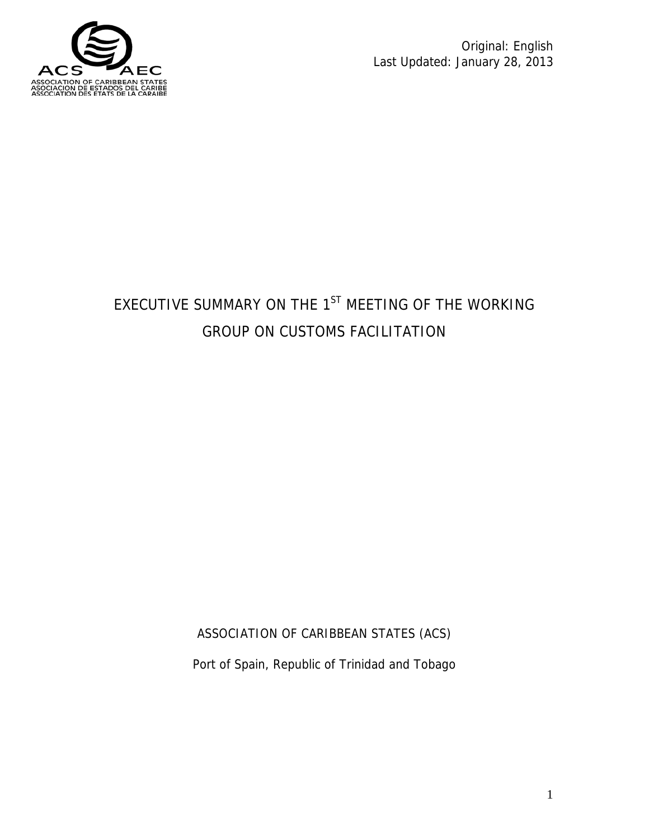

Original: English Last Updated: January 28, 2013

# EXECUTIVE SUMMARY ON THE  $1<sup>ST</sup>$  MEETING OF THE WORKING GROUP ON CUSTOMS FACILITATION

ASSOCIATION OF CARIBBEAN STATES (ACS)

Port of Spain, Republic of Trinidad and Tobago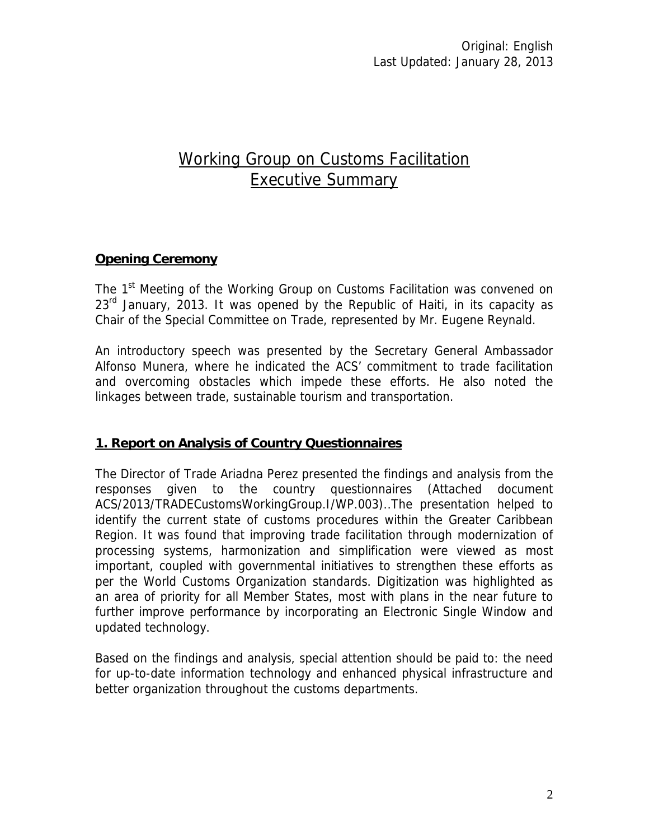# Working Group on Customs Facilitation Executive Summary

# **Opening Ceremony**

The 1<sup>st</sup> Meeting of the Working Group on Customs Facilitation was convened on  $23<sup>rd</sup>$  January, 2013. It was opened by the Republic of Haiti, in its capacity as Chair of the Special Committee on Trade, represented by Mr. Eugene Reynald.

An introductory speech was presented by the Secretary General Ambassador Alfonso Munera, where he indicated the ACS' commitment to trade facilitation and overcoming obstacles which impede these efforts. He also noted the linkages between trade, sustainable tourism and transportation.

# **1. Report on Analysis of Country Questionnaires**

The Director of Trade Ariadna Perez presented the findings and analysis from the responses given to the country questionnaires (Attached document ACS/2013/TRADECustomsWorkingGroup.I/WP.003)..The presentation helped to identify the current state of customs procedures within the Greater Caribbean Region. It was found that improving trade facilitation through modernization of processing systems, harmonization and simplification were viewed as most important, coupled with governmental initiatives to strengthen these efforts as per the World Customs Organization standards. Digitization was highlighted as an area of priority for all Member States, most with plans in the near future to further improve performance by incorporating an Electronic Single Window and updated technology.

Based on the findings and analysis, special attention should be paid to: the need for up-to-date information technology and enhanced physical infrastructure and better organization throughout the customs departments.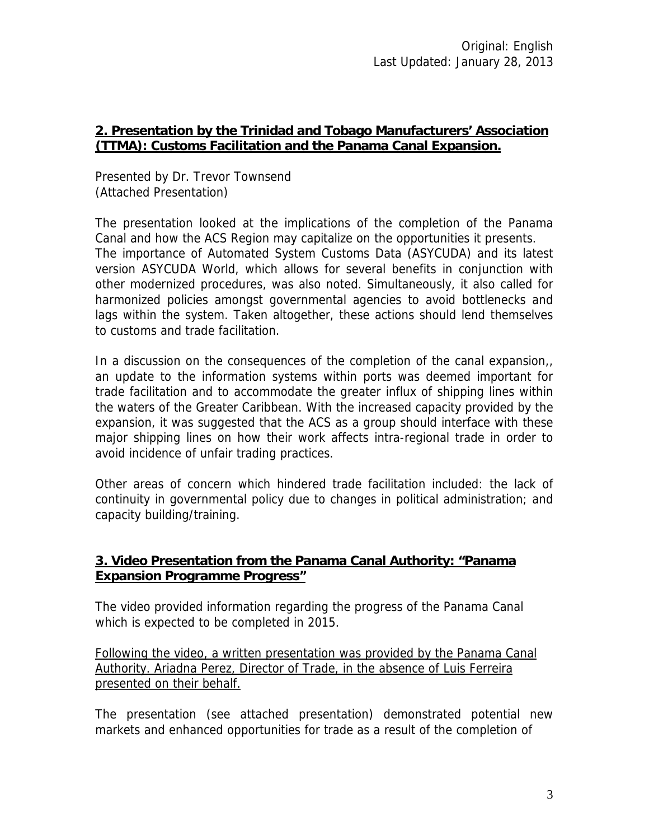#### **2. Presentation by the Trinidad and Tobago Manufacturers' Association (TTMA): Customs Facilitation and the Panama Canal Expansion.**

Presented by Dr. Trevor Townsend (Attached Presentation)

The presentation looked at the implications of the completion of the Panama Canal and how the ACS Region may capitalize on the opportunities it presents. The importance of Automated System Customs Data (ASYCUDA) and its latest version ASYCUDA World, which allows for several benefits in conjunction with other modernized procedures, was also noted. Simultaneously, it also called for harmonized policies amongst governmental agencies to avoid bottlenecks and lags within the system. Taken altogether, these actions should lend themselves to customs and trade facilitation.

In a discussion on the consequences of the completion of the canal expansion,, an update to the information systems within ports was deemed important for trade facilitation and to accommodate the greater influx of shipping lines within the waters of the Greater Caribbean. With the increased capacity provided by the expansion, it was suggested that the ACS as a group should interface with these major shipping lines on how their work affects intra-regional trade in order to avoid incidence of unfair trading practices.

Other areas of concern which hindered trade facilitation included: the lack of continuity in governmental policy due to changes in political administration; and capacity building/training.

# **3. Video Presentation from the Panama Canal Authority: "Panama Expansion Programme Progress"**

The video provided information regarding the progress of the Panama Canal which is expected to be completed in 2015.

Following the video, a written presentation was provided by the Panama Canal Authority. Ariadna Perez, Director of Trade, in the absence of Luis Ferreira presented on their behalf.

The presentation (see attached presentation) demonstrated potential new markets and enhanced opportunities for trade as a result of the completion of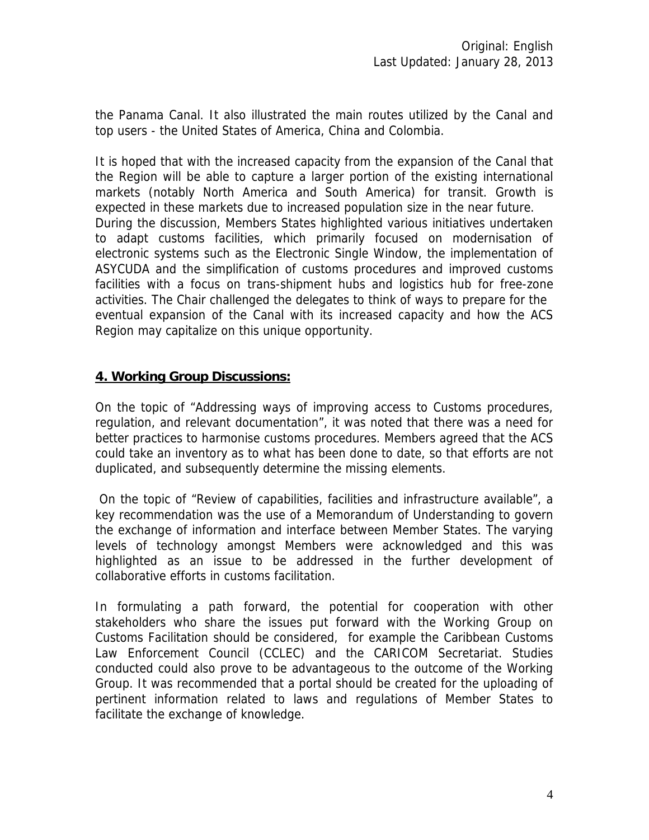the Panama Canal. It also illustrated the main routes utilized by the Canal and top users - the United States of America, China and Colombia.

It is hoped that with the increased capacity from the expansion of the Canal that the Region will be able to capture a larger portion of the existing international markets (notably North America and South America) for transit. Growth is expected in these markets due to increased population size in the near future. During the discussion, Members States highlighted various initiatives undertaken to adapt customs facilities, which primarily focused on modernisation of electronic systems such as the Electronic Single Window, the implementation of ASYCUDA and the simplification of customs procedures and improved customs facilities with a focus on trans-shipment hubs and logistics hub for free-zone activities. The Chair challenged the delegates to think of ways to prepare for the eventual expansion of the Canal with its increased capacity and how the ACS Region may capitalize on this unique opportunity.

#### **4. Working Group Discussions:**

On the topic of "Addressing ways of improving access to Customs procedures, regulation, and relevant documentation", it was noted that there was a need for better practices to harmonise customs procedures. Members agreed that the ACS could take an inventory as to what has been done to date, so that efforts are not duplicated, and subsequently determine the missing elements.

 On the topic of "Review of capabilities, facilities and infrastructure available", a key recommendation was the use of a Memorandum of Understanding to govern the exchange of information and interface between Member States. The varying levels of technology amongst Members were acknowledged and this was highlighted as an issue to be addressed in the further development of collaborative efforts in customs facilitation.

In formulating a path forward, the potential for cooperation with other stakeholders who share the issues put forward with the Working Group on Customs Facilitation should be considered, for example the Caribbean Customs Law Enforcement Council (CCLEC) and the CARICOM Secretariat. Studies conducted could also prove to be advantageous to the outcome of the Working Group. It was recommended that a portal should be created for the uploading of pertinent information related to laws and regulations of Member States to facilitate the exchange of knowledge.